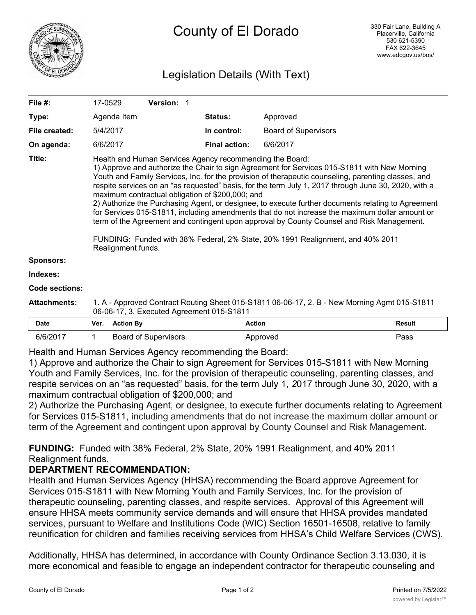

# Legislation Details (With Text)

| File $#$ :            | 17-0529                                                                                                                                                                                                                                                                                                                                                                                                                                                                                                                                                                                                                                                                                                                                                                                                                                  | Version: 1 |                      |                             |               |  |  |
|-----------------------|------------------------------------------------------------------------------------------------------------------------------------------------------------------------------------------------------------------------------------------------------------------------------------------------------------------------------------------------------------------------------------------------------------------------------------------------------------------------------------------------------------------------------------------------------------------------------------------------------------------------------------------------------------------------------------------------------------------------------------------------------------------------------------------------------------------------------------------|------------|----------------------|-----------------------------|---------------|--|--|
| Type:                 | Agenda Item                                                                                                                                                                                                                                                                                                                                                                                                                                                                                                                                                                                                                                                                                                                                                                                                                              |            | <b>Status:</b>       | Approved                    |               |  |  |
| File created:         | 5/4/2017                                                                                                                                                                                                                                                                                                                                                                                                                                                                                                                                                                                                                                                                                                                                                                                                                                 |            | In control:          | <b>Board of Supervisors</b> |               |  |  |
| On agenda:            | 6/6/2017                                                                                                                                                                                                                                                                                                                                                                                                                                                                                                                                                                                                                                                                                                                                                                                                                                 |            | <b>Final action:</b> | 6/6/2017                    |               |  |  |
| Title:                | Health and Human Services Agency recommending the Board:<br>1) Approve and authorize the Chair to sign Agreement for Services 015-S1811 with New Morning<br>Youth and Family Services, Inc. for the provision of therapeutic counseling, parenting classes, and<br>respite services on an "as requested" basis, for the term July 1, 2017 through June 30, 2020, with a<br>maximum contractual obligation of \$200,000; and<br>2) Authorize the Purchasing Agent, or designee, to execute further documents relating to Agreement<br>for Services 015-S1811, including amendments that do not increase the maximum dollar amount or<br>term of the Agreement and contingent upon approval by County Counsel and Risk Management.<br>FUNDING: Funded with 38% Federal, 2% State, 20% 1991 Realignment, and 40% 2011<br>Realignment funds. |            |                      |                             |               |  |  |
| <b>Sponsors:</b>      |                                                                                                                                                                                                                                                                                                                                                                                                                                                                                                                                                                                                                                                                                                                                                                                                                                          |            |                      |                             |               |  |  |
| Indexes:              |                                                                                                                                                                                                                                                                                                                                                                                                                                                                                                                                                                                                                                                                                                                                                                                                                                          |            |                      |                             |               |  |  |
| <b>Code sections:</b> |                                                                                                                                                                                                                                                                                                                                                                                                                                                                                                                                                                                                                                                                                                                                                                                                                                          |            |                      |                             |               |  |  |
| <b>Attachments:</b>   | 1. A - Approved Contract Routing Sheet 015-S1811 06-06-17, 2. B - New Morning Agmt 015-S1811<br>06-06-17, 3. Executed Agreement 015-S1811                                                                                                                                                                                                                                                                                                                                                                                                                                                                                                                                                                                                                                                                                                |            |                      |                             |               |  |  |
| <b>Date</b>           | <b>Action By</b><br>Ver.                                                                                                                                                                                                                                                                                                                                                                                                                                                                                                                                                                                                                                                                                                                                                                                                                 |            | <b>Action</b>        |                             | <b>Result</b> |  |  |

| <b>Date</b> | Ver. | <b>Action By</b>     | Action   | <b>Result</b> |
|-------------|------|----------------------|----------|---------------|
| 6/6/2017    |      | Board of Supervisors | Approved | ⊃ass          |

Health and Human Services Agency recommending the Board:

1) Approve and authorize the Chair to sign Agreement for Services 015-S1811 with New Morning Youth and Family Services, Inc. for the provision of therapeutic counseling, parenting classes, and respite services on an "as requested" basis, for the term July 1, *2*017 through June 30, 2020, with a maximum contractual obligation of \$200,000; and

2) Authorize the Purchasing Agent, or designee, to execute further documents relating to Agreement for Services 015-S1811, including amendments that do not increase the maximum dollar amount or term of the Agreement and contingent upon approval by County Counsel and Risk Management.

**FUNDING:** Funded with 38% Federal, 2% State, 20% 1991 Realignment, and 40% 2011 Realignment funds.

## **DEPARTMENT RECOMMENDATION:**

Health and Human Services Agency (HHSA) recommending the Board approve Agreement for Services 015-S1811 with New Morning Youth and Family Services, Inc. for the provision of therapeutic counseling, parenting classes, and respite services. Approval of this Agreement will ensure HHSA meets community service demands and will ensure that HHSA provides mandated services, pursuant to Welfare and Institutions Code (WIC) Section 16501-16508, relative to family reunification for children and families receiving services from HHSA's Child Welfare Services (CWS).

Additionally, HHSA has determined, in accordance with County Ordinance Section 3.13.030, it is more economical and feasible to engage an independent contractor for therapeutic counseling and